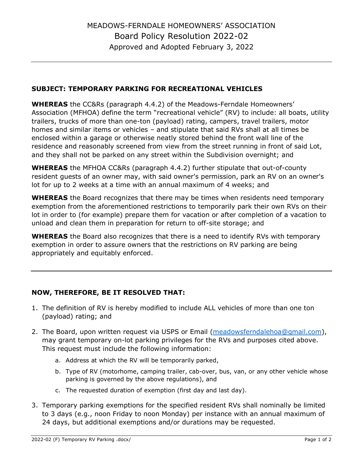## **SUBJECT: TEMPORARY PARKING FOR RECREATIONAL VEHICLES**

**WHEREAS** the CC&Rs (paragraph 4.4.2) of the Meadows-Ferndale Homeowners' Association (MFHOA) define the term "recreational vehicle" (RV) to include: all boats, utility trailers, trucks of more than one-ton (payload) rating, campers, travel trailers, motor homes and similar items or vehicles – and stipulate that said RVs shall at all times be enclosed within a garage or otherwise neatly stored behind the front wall line of the residence and reasonably screened from view from the street running in front of said Lot, and they shall not be parked on any street within the Subdivision overnight; and

**WHEREAS** the MFHOA CC&Rs (paragraph 4.4.2) further stipulate that out-of-county resident guests of an owner may, with said owner's permission, park an RV on an owner's lot for up to 2 weeks at a time with an annual maximum of 4 weeks; and

**WHEREAS** the Board recognizes that there may be times when residents need temporary exemption from the aforementioned restrictions to temporarily park their own RVs on their lot in order to (for example) prepare them for vacation or after completion of a vacation to unload and clean them in preparation for return to off-site storage; and

**WHEREAS** the Board also recognizes that there is a need to identify RVs with temporary exemption in order to assure owners that the restrictions on RV parking are being appropriately and equitably enforced.

## **NOW, THEREFORE, BE IT RESOLVED THAT:**

- 1. The definition of RV is hereby modified to include ALL vehicles of more than one ton (payload) rating; and
- 2. The Board, upon written request via USPS or Email [\(meadowsferndalehoa@gmail.com\)](mailto:meadowsferndalehoa@gmail.com), may grant temporary on-lot parking privileges for the RVs and purposes cited above. This request must include the following information:
	- a. Address at which the RV will be temporarily parked,
	- b. Type of RV (motorhome, camping trailer, cab-over, bus, van, or any other vehicle whose parking is governed by the above regulations), and
	- c. The requested duration of exemption (first day and last day).
- 3. Temporary parking exemptions for the specified resident RVs shall nominally be limited to 3 days (e.g., noon Friday to noon Monday) per instance with an annual maximum of 24 days, but additional exemptions and/or durations may be requested.